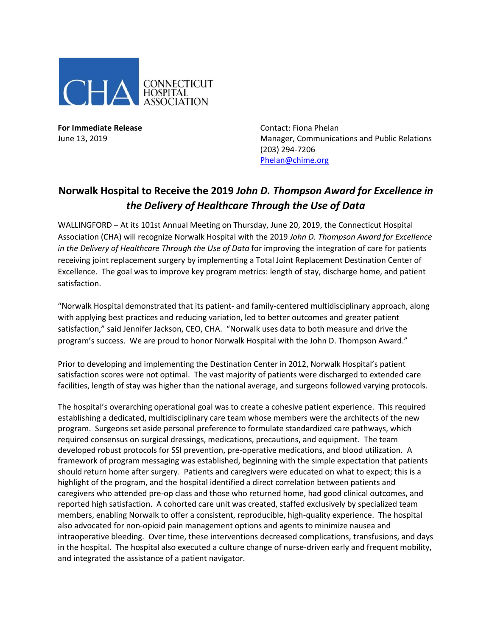

**For Immediate Release**  The Contact: Fiona Phelan

June 13, 2019 Manager, Communications and Public Relations (203) 294-7206 [Phelan@chime.org](mailto:Phelan@chime.org)

## **Norwalk Hospital to Receive the 2019** *John D. Thompson Award for Excellence in the Delivery of Healthcare Through the Use of Data*

WALLINGFORD – At its 101st Annual Meeting on Thursday, June 20, 2019, the Connecticut Hospital Association (CHA) will recognize Norwalk Hospital with the 2019 *John D. Thompson Award for Excellence in the Delivery of Healthcare Through the Use of Data for improving the integration of care for patients* receiving joint replacement surgery by implementing a Total Joint Replacement Destination Center of Excellence. The goal was to improve key program metrics: length of stay, discharge home, and patient satisfaction.

"Norwalk Hospital demonstrated that its patient- and family-centered multidisciplinary approach, along with applying best practices and reducing variation, led to better outcomes and greater patient satisfaction," said Jennifer Jackson, CEO, CHA. "Norwalk uses data to both measure and drive the program's success. We are proud to honor Norwalk Hospital with the John D. Thompson Award."

Prior to developing and implementing the Destination Center in 2012, Norwalk Hospital's patient satisfaction scores were not optimal. The vast majority of patients were discharged to extended care facilities, length of stay was higher than the national average, and surgeons followed varying protocols.

The hospital's overarching operational goal was to create a cohesive patient experience. This required establishing a dedicated, multidisciplinary care team whose members were the architects of the new program. Surgeons set aside personal preference to formulate standardized care pathways, which required consensus on surgical dressings, medications, precautions, and equipment. The team developed robust protocols for SSI prevention, pre-operative medications, and blood utilization. A framework of program messaging was established, beginning with the simple expectation that patients should return home after surgery. Patients and caregivers were educated on what to expect; this is a highlight of the program, and the hospital identified a direct correlation between patients and caregivers who attended pre-op class and those who returned home, had good clinical outcomes, and reported high satisfaction. A cohorted care unit was created, staffed exclusively by specialized team members, enabling Norwalk to offer a consistent, reproducible, high-quality experience. The hospital also advocated for non-opioid pain management options and agents to minimize nausea and intraoperative bleeding. Over time, these interventions decreased complications, transfusions, and days in the hospital. The hospital also executed a culture change of nurse-driven early and frequent mobility, and integrated the assistance of a patient navigator.